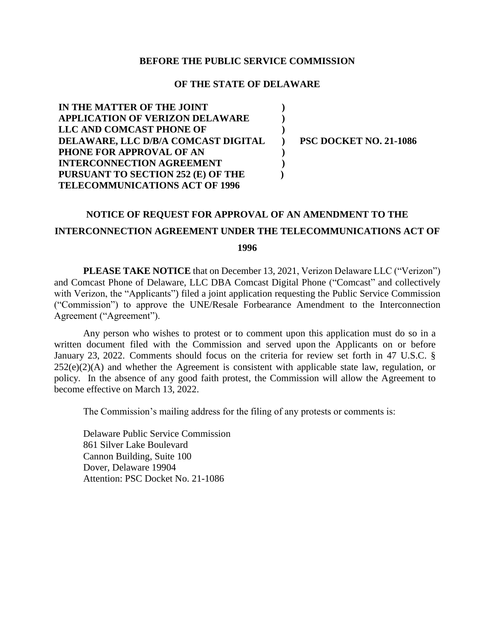## **BEFORE THE PUBLIC SERVICE COMMISSION**

## **OF THE STATE OF DELAWARE**

**) ) ) ) ) ) )**

**IN THE MATTER OF THE JOINT APPLICATION OF VERIZON DELAWARE LLC AND COMCAST PHONE OF DELAWARE, LLC D/B/A COMCAST DIGITAL PHONE FOR APPROVAL OF AN INTERCONNECTION AGREEMENT PURSUANT TO SECTION 252 (E) OF THE TELECOMMUNICATIONS ACT OF 1996** 

**PSC DOCKET NO. 21-1086**

## **NOTICE OF REQUEST FOR APPROVAL OF AN AMENDMENT TO THE**

## **INTERCONNECTION AGREEMENT UNDER THE TELECOMMUNICATIONS ACT OF**

**1996**

**PLEASE TAKE NOTICE** that on December 13, 2021, Verizon Delaware LLC ("Verizon") and Comcast Phone of Delaware, LLC DBA Comcast Digital Phone ("Comcast" and collectively with Verizon, the "Applicants") filed a joint application requesting the Public Service Commission ("Commission") to approve the UNE/Resale Forbearance Amendment to the Interconnection Agreement ("Agreement").

Any person who wishes to protest or to comment upon this application must do so in a written document filed with the Commission and served upon the Applicants on or before January 23, 2022. Comments should focus on the criteria for review set forth in 47 U.S.C. §  $252(e)(2)(A)$  and whether the Agreement is consistent with applicable state law, regulation, or policy. In the absence of any good faith protest, the Commission will allow the Agreement to become effective on March 13, 2022.

The Commission's mailing address for the filing of any protests or comments is:

Delaware Public Service Commission 861 Silver Lake Boulevard Cannon Building, Suite 100 Dover, Delaware 19904 Attention: PSC Docket No. 21-1086